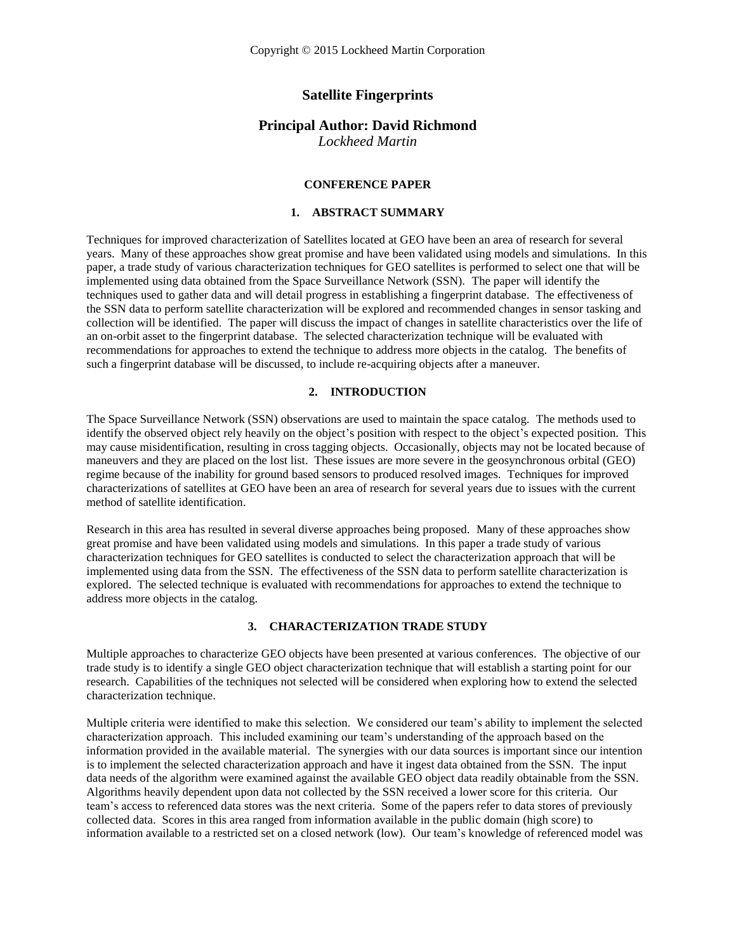### **Satellite Fingerprints**

### **Principal Author: David Richmond**

*Lockheed Martin*

### **CONFERENCE PAPER**

#### **1. ABSTRACT SUMMARY**

Techniques for improved characterization of Satellites located at GEO have been an area of research for several years. Many of these approaches show great promise and have been validated using models and simulations. In this paper, a trade study of various characterization techniques for GEO satellites is performed to select one that will be implemented using data obtained from the Space Surveillance Network (SSN). The paper will identify the techniques used to gather data and will detail progress in establishing a fingerprint database. The effectiveness of the SSN data to perform satellite characterization will be explored and recommended changes in sensor tasking and collection will be identified. The paper will discuss the impact of changes in satellite characteristics over the life of an on-orbit asset to the fingerprint database. The selected characterization technique will be evaluated with recommendations for approaches to extend the technique to address more objects in the catalog. The benefits of such a fingerprint database will be discussed, to include re-acquiring objects after a maneuver.

### **2. INTRODUCTION**

The Space Surveillance Network (SSN) observations are used to maintain the space catalog. The methods used to identify the observed object rely heavily on the object's position with respect to the object's expected position. This may cause misidentification, resulting in cross tagging objects. Occasionally, objects may not be located because of maneuvers and they are placed on the lost list. These issues are more severe in the geosynchronous orbital (GEO) regime because of the inability for ground based sensors to produced resolved images. Techniques for improved characterizations of satellites at GEO have been an area of research for several years due to issues with the current method of satellite identification.

Research in this area has resulted in several diverse approaches being proposed. Many of these approaches show great promise and have been validated using models and simulations. In this paper a trade study of various characterization techniques for GEO satellites is conducted to select the characterization approach that will be implemented using data from the SSN. The effectiveness of the SSN data to perform satellite characterization is explored. The selected technique is evaluated with recommendations for approaches to extend the technique to address more objects in the catalog.

### **3. CHARACTERIZATION TRADE STUDY**

Multiple approaches to characterize GEO objects have been presented at various conferences. The objective of our trade study is to identify a single GEO object characterization technique that will establish a starting point for our research. Capabilities of the techniques not selected will be considered when exploring how to extend the selected characterization technique.

Multiple criteria were identified to make this selection. We considered our team's ability to implement the selected characterization approach. This included examining our team's understanding of the approach based on the information provided in the available material. The synergies with our data sources is important since our intention is to implement the selected characterization approach and have it ingest data obtained from the SSN. The input data needs of the algorithm were examined against the available GEO object data readily obtainable from the SSN. Algorithms heavily dependent upon data not collected by the SSN received a lower score for this criteria. Our team's access to referenced data stores was the next criteria. Some of the papers refer to data stores of previously collected data. Scores in this area ranged from information available in the public domain (high score) to information available to a restricted set on a closed network (low). Our team's knowledge of referenced model was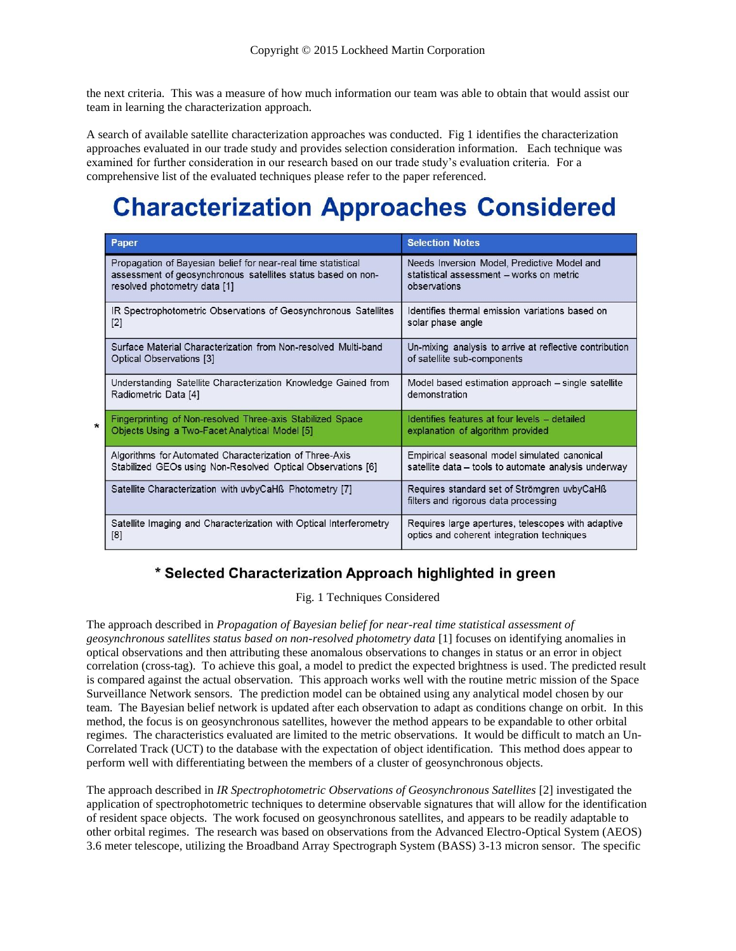the next criteria. This was a measure of how much information our team was able to obtain that would assist our team in learning the characterization approach.

A search of available satellite characterization approaches was conducted. Fig 1 identifies the characterization approaches evaluated in our trade study and provides selection consideration information. Each technique was examined for further consideration in our research based on our trade study's evaluation criteria. For a comprehensive list of the evaluated techniques please refer to the paper referenced.

## **Characterization Approaches Considered**

| Paper                                                               | <b>Selection Notes</b>                                                              |
|---------------------------------------------------------------------|-------------------------------------------------------------------------------------|
| Propagation of Bayesian belief for near-real time statistical       | Needs Inversion Model, Predictive Model and                                         |
| assessment of geosynchronous satellites status based on non-        | statistical assessment - works on metric                                            |
| resolved photometry data [1]                                        | observations                                                                        |
| IR Spectrophotometric Observations of Geosynchronous Satellites     | Identifies thermal emission variations based on                                     |
| $[2]$                                                               | solar phase angle                                                                   |
| Surface Material Characterization from Non-resolved Multi-band      | Un-mixing analysis to arrive at reflective contribution                             |
| Optical Observations [3]                                            | of satellite sub-components                                                         |
| Understanding Satellite Characterization Knowledge Gained from      | Model based estimation approach - single satellite                                  |
| Radiometric Data [4]                                                | demonstration                                                                       |
| Fingerprinting of Non-resolved Three-axis Stabilized Space          | Identifies features at four levels - detailed                                       |
| Objects Using a Two-Facet Analytical Model [5]                      | explanation of algorithm provided                                                   |
| Algorithms for Automated Characterization of Three-Axis             | Empirical seasonal model simulated canonical                                        |
| Stabilized GEOs using Non-Resolved Optical Observations [6]         | satellite data - tools to automate analysis underway                                |
| Satellite Characterization with uvbyCaH <sub>B</sub> Photometry [7] | Requires standard set of Strömgren uvbyCaHß<br>filters and rigorous data processing |
| Satellite Imaging and Characterization with Optical Interferometry  | Requires large apertures, telescopes with adaptive                                  |
| [8]                                                                 | optics and coherent integration techniques                                          |

## \* Selected Characterization Approach highlighted in green

Fig. 1 Techniques Considered

The approach described in *Propagation of Bayesian belief for near-real time statistical assessment of geosynchronous satellites status based on non-resolved photometry data* [1] focuses on identifying anomalies in optical observations and then attributing these anomalous observations to changes in status or an error in object correlation (cross-tag). To achieve this goal, a model to predict the expected brightness is used. The predicted result is compared against the actual observation. This approach works well with the routine metric mission of the Space Surveillance Network sensors. The prediction model can be obtained using any analytical model chosen by our team. The Bayesian belief network is updated after each observation to adapt as conditions change on orbit. In this method, the focus is on geosynchronous satellites, however the method appears to be expandable to other orbital regimes. The characteristics evaluated are limited to the metric observations. It would be difficult to match an Un-Correlated Track (UCT) to the database with the expectation of object identification. This method does appear to perform well with differentiating between the members of a cluster of geosynchronous objects.

The approach described in *IR Spectrophotometric Observations of Geosynchronous Satellites* [2] investigated the application of spectrophotometric techniques to determine observable signatures that will allow for the identification of resident space objects. The work focused on geosynchronous satellites, and appears to be readily adaptable to other orbital regimes. The research was based on observations from the Advanced Electro-Optical System (AEOS) 3.6 meter telescope, utilizing the Broadband Array Spectrograph System (BASS) 3-13 micron sensor. The specific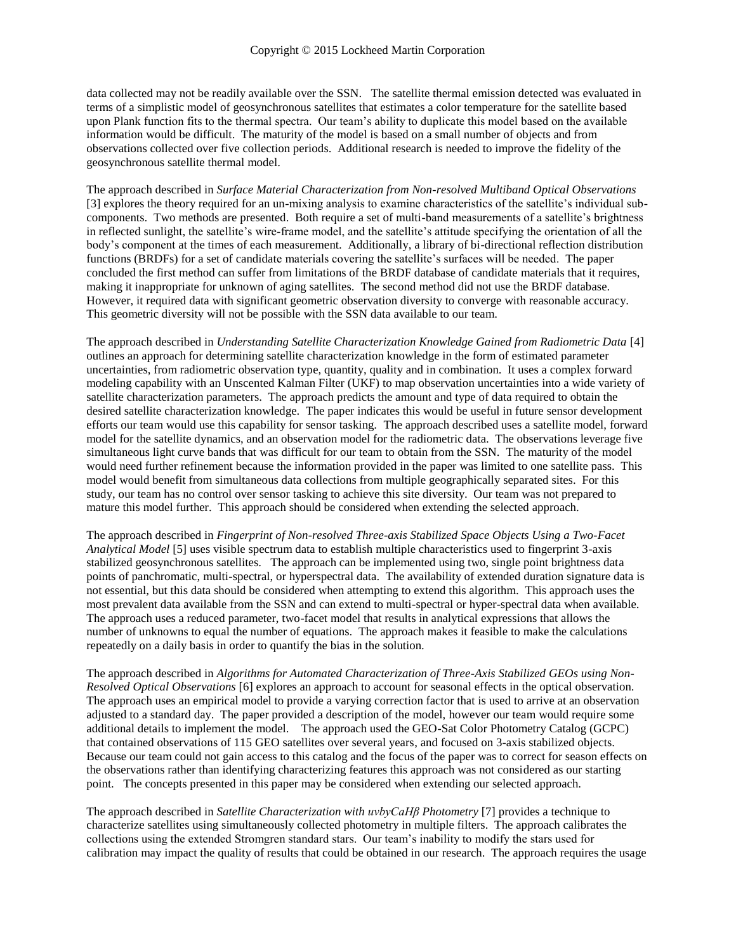data collected may not be readily available over the SSN. The satellite thermal emission detected was evaluated in terms of a simplistic model of geosynchronous satellites that estimates a color temperature for the satellite based upon Plank function fits to the thermal spectra. Our team's ability to duplicate this model based on the available information would be difficult. The maturity of the model is based on a small number of objects and from observations collected over five collection periods. Additional research is needed to improve the fidelity of the geosynchronous satellite thermal model.

The approach described in *Surface Material Characterization from Non-resolved Multiband Optical Observations* [3] explores the theory required for an un-mixing analysis to examine characteristics of the satellite's individual subcomponents. Two methods are presented. Both require a set of multi-band measurements of a satellite's brightness in reflected sunlight, the satellite's wire-frame model, and the satellite's attitude specifying the orientation of all the body's component at the times of each measurement. Additionally, a library of bi-directional reflection distribution functions (BRDFs) for a set of candidate materials covering the satellite's surfaces will be needed. The paper concluded the first method can suffer from limitations of the BRDF database of candidate materials that it requires, making it inappropriate for unknown of aging satellites. The second method did not use the BRDF database. However, it required data with significant geometric observation diversity to converge with reasonable accuracy. This geometric diversity will not be possible with the SSN data available to our team.

The approach described in *Understanding Satellite Characterization Knowledge Gained from Radiometric Data* [4] outlines an approach for determining satellite characterization knowledge in the form of estimated parameter uncertainties, from radiometric observation type, quantity, quality and in combination. It uses a complex forward modeling capability with an Unscented Kalman Filter (UKF) to map observation uncertainties into a wide variety of satellite characterization parameters. The approach predicts the amount and type of data required to obtain the desired satellite characterization knowledge. The paper indicates this would be useful in future sensor development efforts our team would use this capability for sensor tasking. The approach described uses a satellite model, forward model for the satellite dynamics, and an observation model for the radiometric data. The observations leverage five simultaneous light curve bands that was difficult for our team to obtain from the SSN. The maturity of the model would need further refinement because the information provided in the paper was limited to one satellite pass. This model would benefit from simultaneous data collections from multiple geographically separated sites. For this study, our team has no control over sensor tasking to achieve this site diversity. Our team was not prepared to mature this model further. This approach should be considered when extending the selected approach.

The approach described in *Fingerprint of Non-resolved Three-axis Stabilized Space Objects Using a Two-Facet Analytical Model* [5] uses visible spectrum data to establish multiple characteristics used to fingerprint 3-axis stabilized geosynchronous satellites. The approach can be implemented using two, single point brightness data points of panchromatic, multi-spectral, or hyperspectral data. The availability of extended duration signature data is not essential, but this data should be considered when attempting to extend this algorithm. This approach uses the most prevalent data available from the SSN and can extend to multi-spectral or hyper-spectral data when available. The approach uses a reduced parameter, two-facet model that results in analytical expressions that allows the number of unknowns to equal the number of equations. The approach makes it feasible to make the calculations repeatedly on a daily basis in order to quantify the bias in the solution.

The approach described in *Algorithms for Automated Characterization of Three-Axis Stabilized GEOs using Non-Resolved Optical Observations* [6] explores an approach to account for seasonal effects in the optical observation. The approach uses an empirical model to provide a varying correction factor that is used to arrive at an observation adjusted to a standard day. The paper provided a description of the model, however our team would require some additional details to implement the model. The approach used the GEO-Sat Color Photometry Catalog (GCPC) that contained observations of 115 GEO satellites over several years, and focused on 3-axis stabilized objects. Because our team could not gain access to this catalog and the focus of the paper was to correct for season effects on the observations rather than identifying characterizing features this approach was not considered as our starting point. The concepts presented in this paper may be considered when extending our selected approach.

The approach described in *Satellite Characterization with uvbyCaHβ Photometry* [7] provides a technique to characterize satellites using simultaneously collected photometry in multiple filters. The approach calibrates the collections using the extended Stromgren standard stars. Our team's inability to modify the stars used for calibration may impact the quality of results that could be obtained in our research. The approach requires the usage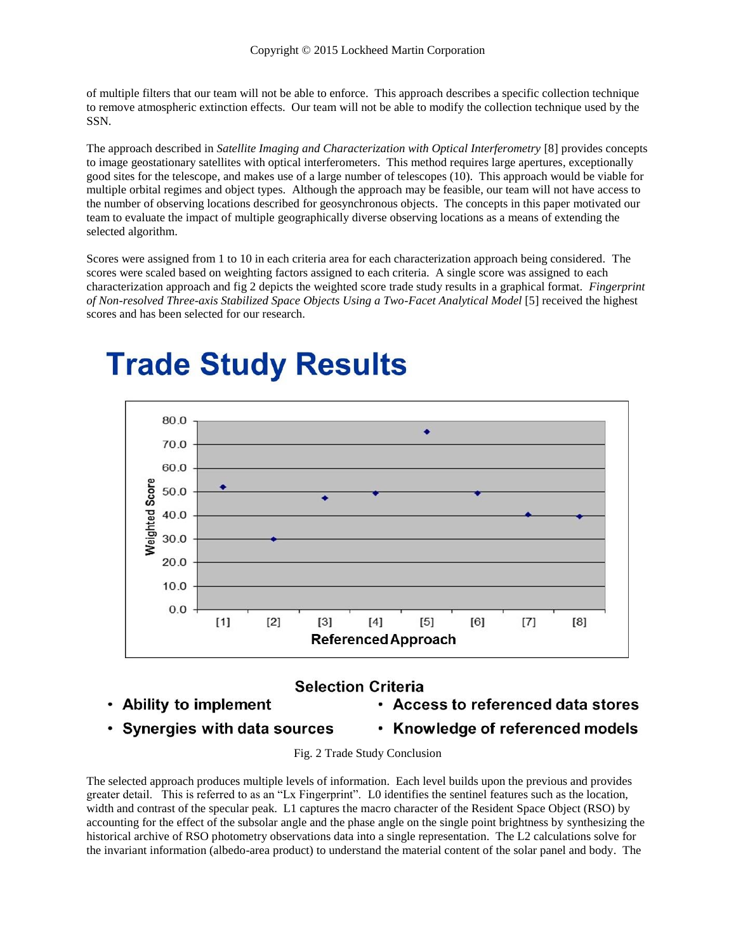of multiple filters that our team will not be able to enforce. This approach describes a specific collection technique to remove atmospheric extinction effects. Our team will not be able to modify the collection technique used by the SSN.

The approach described in *Satellite Imaging and Characterization with Optical Interferometry* [8] provides concepts to image geostationary satellites with optical interferometers. This method requires large apertures, exceptionally good sites for the telescope, and makes use of a large number of telescopes (10). This approach would be viable for multiple orbital regimes and object types. Although the approach may be feasible, our team will not have access to the number of observing locations described for geosynchronous objects. The concepts in this paper motivated our team to evaluate the impact of multiple geographically diverse observing locations as a means of extending the selected algorithm.

Scores were assigned from 1 to 10 in each criteria area for each characterization approach being considered. The scores were scaled based on weighting factors assigned to each criteria. A single score was assigned to each characterization approach and fig 2 depicts the weighted score trade study results in a graphical format. *Fingerprint of Non-resolved Three-axis Stabilized Space Objects Using a Two-Facet Analytical Model* [5] received the highest scores and has been selected for our research.



# **Trade Study Results**

## **Selection Criteria**

- Ability to implement
- Access to referenced data stores
- Synergies with data sources
- Knowledge of referenced models

Fig. 2 Trade Study Conclusion

The selected approach produces multiple levels of information. Each level builds upon the previous and provides greater detail. This is referred to as an "Lx Fingerprint". L0 identifies the sentinel features such as the location, width and contrast of the specular peak. L1 captures the macro character of the Resident Space Object (RSO) by accounting for the effect of the subsolar angle and the phase angle on the single point brightness by synthesizing the historical archive of RSO photometry observations data into a single representation. The L2 calculations solve for the invariant information (albedo-area product) to understand the material content of the solar panel and body. The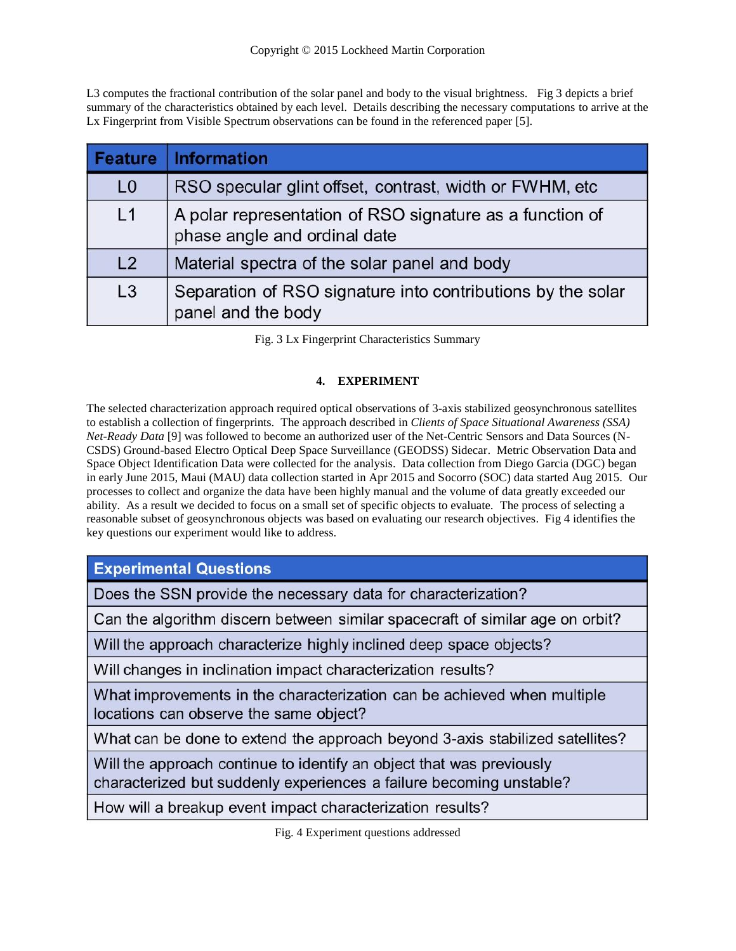L3 computes the fractional contribution of the solar panel and body to the visual brightness. Fig 3 depicts a brief summary of the characteristics obtained by each level. Details describing the necessary computations to arrive at the Lx Fingerprint from Visible Spectrum observations can be found in the referenced paper [5].

| <b>Feature</b> | <b>Information</b>                                                                       |
|----------------|------------------------------------------------------------------------------------------|
| L <sub>0</sub> | RSO specular glint offset, contrast, width or FWHM, etc                                  |
| L1             | A polar representation of RSO signature as a function of<br>phase angle and ordinal date |
| L2             | Material spectra of the solar panel and body                                             |
| L3             | Separation of RSO signature into contributions by the solar<br>panel and the body        |

Fig. 3 Lx Fingerprint Characteristics Summary

### **4. EXPERIMENT**

The selected characterization approach required optical observations of 3-axis stabilized geosynchronous satellites to establish a collection of fingerprints. The approach described in *Clients of Space Situational Awareness (SSA) Net-Ready Data* [9] was followed to become an authorized user of the Net-Centric Sensors and Data Sources (N-CSDS) Ground-based Electro Optical Deep Space Surveillance (GEODSS) Sidecar. Metric Observation Data and Space Object Identification Data were collected for the analysis. Data collection from Diego Garcia (DGC) began in early June 2015, Maui (MAU) data collection started in Apr 2015 and Socorro (SOC) data started Aug 2015. Our processes to collect and organize the data have been highly manual and the volume of data greatly exceeded our ability. As a result we decided to focus on a small set of specific objects to evaluate. The process of selecting a reasonable subset of geosynchronous objects was based on evaluating our research objectives. Fig 4 identifies the key questions our experiment would like to address.

**Experimental Questions** 

Does the SSN provide the necessary data for characterization?

Can the algorithm discern between similar spacecraft of similar age on orbit?

Will the approach characterize highly inclined deep space objects?

Will changes in inclination impact characterization results?

What improvements in the characterization can be achieved when multiple locations can observe the same object?

What can be done to extend the approach beyond 3-axis stabilized satellites?

Will the approach continue to identify an object that was previously characterized but suddenly experiences a failure becoming unstable?

How will a breakup event impact characterization results?

Fig. 4 Experiment questions addressed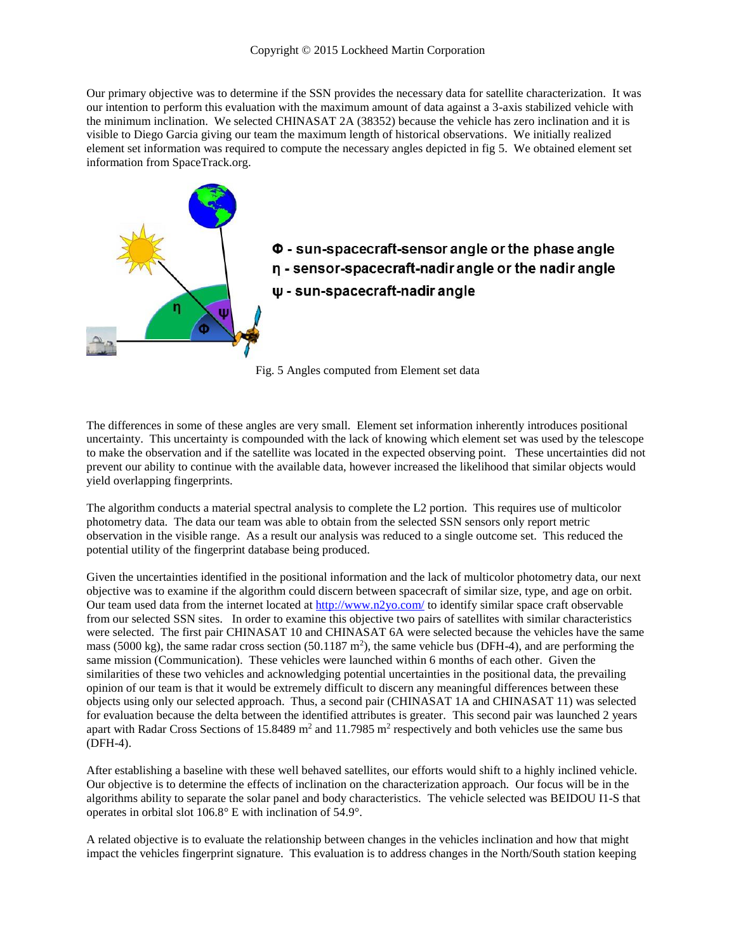Our primary objective was to determine if the SSN provides the necessary data for satellite characterization. It was our intention to perform this evaluation with the maximum amount of data against a 3-axis stabilized vehicle with the minimum inclination. We selected CHINASAT 2A (38352) because the vehicle has zero inclination and it is visible to Diego Garcia giving our team the maximum length of historical observations. We initially realized element set information was required to compute the necessary angles depicted in fig 5. We obtained element set information from SpaceTrack.org.



Fig. 5 Angles computed from Element set data

The differences in some of these angles are very small. Element set information inherently introduces positional uncertainty. This uncertainty is compounded with the lack of knowing which element set was used by the telescope to make the observation and if the satellite was located in the expected observing point. These uncertainties did not prevent our ability to continue with the available data, however increased the likelihood that similar objects would yield overlapping fingerprints.

The algorithm conducts a material spectral analysis to complete the L2 portion. This requires use of multicolor photometry data. The data our team was able to obtain from the selected SSN sensors only report metric observation in the visible range. As a result our analysis was reduced to a single outcome set. This reduced the potential utility of the fingerprint database being produced.

Given the uncertainties identified in the positional information and the lack of multicolor photometry data, our next objective was to examine if the algorithm could discern between spacecraft of similar size, type, and age on orbit. Our team used data from the internet located at <http://www.n2yo.com/> to identify similar space craft observable from our selected SSN sites. In order to examine this objective two pairs of satellites with similar characteristics were selected. The first pair CHINASAT 10 and CHINASAT 6A were selected because the vehicles have the same mass (5000 kg), the same radar cross section (50.1187  $m^2$ ), the same vehicle bus (DFH-4), and are performing the same mission (Communication). These vehicles were launched within 6 months of each other. Given the similarities of these two vehicles and acknowledging potential uncertainties in the positional data, the prevailing opinion of our team is that it would be extremely difficult to discern any meaningful differences between these objects using only our selected approach. Thus, a second pair (CHINASAT 1A and CHINASAT 11) was selected for evaluation because the delta between the identified attributes is greater. This second pair was launched 2 years apart with Radar Cross Sections of 15.8489  $m^2$  and 11.7985  $m^2$  respectively and both vehicles use the same bus (DFH-4).

After establishing a baseline with these well behaved satellites, our efforts would shift to a highly inclined vehicle. Our objective is to determine the effects of inclination on the characterization approach. Our focus will be in the algorithms ability to separate the solar panel and body characteristics. The vehicle selected was BEIDOU I1-S that operates in orbital slot 106.8° E with inclination of 54.9°.

A related objective is to evaluate the relationship between changes in the vehicles inclination and how that might impact the vehicles fingerprint signature. This evaluation is to address changes in the North/South station keeping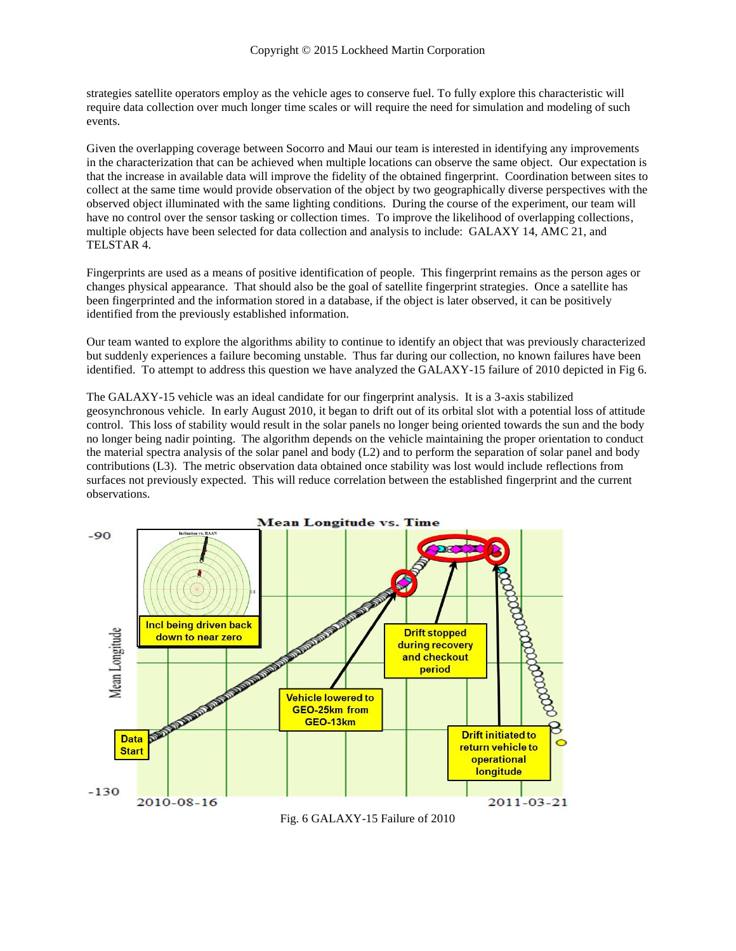strategies satellite operators employ as the vehicle ages to conserve fuel. To fully explore this characteristic will require data collection over much longer time scales or will require the need for simulation and modeling of such events.

Given the overlapping coverage between Socorro and Maui our team is interested in identifying any improvements in the characterization that can be achieved when multiple locations can observe the same object. Our expectation is that the increase in available data will improve the fidelity of the obtained fingerprint. Coordination between sites to collect at the same time would provide observation of the object by two geographically diverse perspectives with the observed object illuminated with the same lighting conditions. During the course of the experiment, our team will have no control over the sensor tasking or collection times. To improve the likelihood of overlapping collections, multiple objects have been selected for data collection and analysis to include: GALAXY 14, AMC 21, and TELSTAR 4.

Fingerprints are used as a means of positive identification of people. This fingerprint remains as the person ages or changes physical appearance. That should also be the goal of satellite fingerprint strategies. Once a satellite has been fingerprinted and the information stored in a database, if the object is later observed, it can be positively identified from the previously established information.

Our team wanted to explore the algorithms ability to continue to identify an object that was previously characterized but suddenly experiences a failure becoming unstable. Thus far during our collection, no known failures have been identified. To attempt to address this question we have analyzed the GALAXY-15 failure of 2010 depicted in Fig 6.

The GALAXY-15 vehicle was an ideal candidate for our fingerprint analysis. It is a 3-axis stabilized geosynchronous vehicle. In early August 2010, it began to drift out of its orbital slot with a potential loss of attitude control. This loss of stability would result in the solar panels no longer being oriented towards the sun and the body no longer being nadir pointing. The algorithm depends on the vehicle maintaining the proper orientation to conduct the material spectra analysis of the solar panel and body (L2) and to perform the separation of solar panel and body contributions (L3). The metric observation data obtained once stability was lost would include reflections from surfaces not previously expected. This will reduce correlation between the established fingerprint and the current observations.



Fig. 6 GALAXY-15 Failure of 2010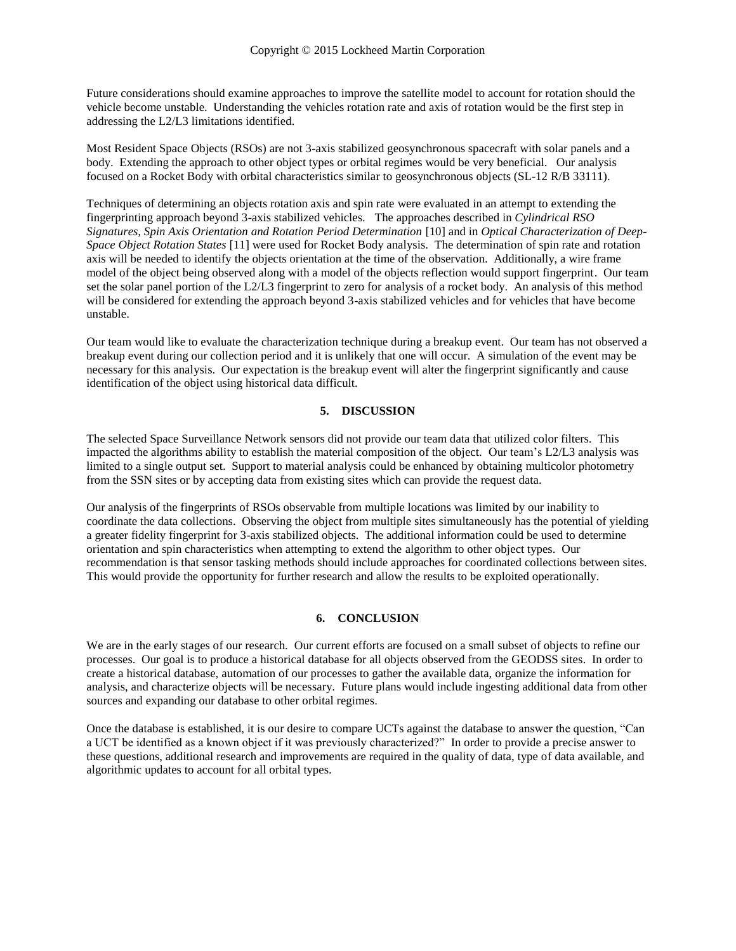Future considerations should examine approaches to improve the satellite model to account for rotation should the vehicle become unstable. Understanding the vehicles rotation rate and axis of rotation would be the first step in addressing the L2/L3 limitations identified.

Most Resident Space Objects (RSOs) are not 3-axis stabilized geosynchronous spacecraft with solar panels and a body. Extending the approach to other object types or orbital regimes would be very beneficial. Our analysis focused on a Rocket Body with orbital characteristics similar to geosynchronous objects (SL-12 R/B 33111).

Techniques of determining an objects rotation axis and spin rate were evaluated in an attempt to extending the fingerprinting approach beyond 3-axis stabilized vehicles. The approaches described in *Cylindrical RSO Signatures, Spin Axis Orientation and Rotation Period Determination* [10] and in *Optical Characterization of Deep-Space Object Rotation States* [11] were used for Rocket Body analysis. The determination of spin rate and rotation axis will be needed to identify the objects orientation at the time of the observation. Additionally, a wire frame model of the object being observed along with a model of the objects reflection would support fingerprint. Our team set the solar panel portion of the L2/L3 fingerprint to zero for analysis of a rocket body. An analysis of this method will be considered for extending the approach beyond 3-axis stabilized vehicles and for vehicles that have become unstable.

Our team would like to evaluate the characterization technique during a breakup event. Our team has not observed a breakup event during our collection period and it is unlikely that one will occur. A simulation of the event may be necessary for this analysis. Our expectation is the breakup event will alter the fingerprint significantly and cause identification of the object using historical data difficult.

### **5. DISCUSSION**

The selected Space Surveillance Network sensors did not provide our team data that utilized color filters. This impacted the algorithms ability to establish the material composition of the object. Our team's L2/L3 analysis was limited to a single output set. Support to material analysis could be enhanced by obtaining multicolor photometry from the SSN sites or by accepting data from existing sites which can provide the request data.

Our analysis of the fingerprints of RSOs observable from multiple locations was limited by our inability to coordinate the data collections. Observing the object from multiple sites simultaneously has the potential of yielding a greater fidelity fingerprint for 3-axis stabilized objects. The additional information could be used to determine orientation and spin characteristics when attempting to extend the algorithm to other object types. Our recommendation is that sensor tasking methods should include approaches for coordinated collections between sites. This would provide the opportunity for further research and allow the results to be exploited operationally.

### **6. CONCLUSION**

We are in the early stages of our research. Our current efforts are focused on a small subset of objects to refine our processes. Our goal is to produce a historical database for all objects observed from the GEODSS sites. In order to create a historical database, automation of our processes to gather the available data, organize the information for analysis, and characterize objects will be necessary. Future plans would include ingesting additional data from other sources and expanding our database to other orbital regimes.

Once the database is established, it is our desire to compare UCTs against the database to answer the question, "Can a UCT be identified as a known object if it was previously characterized?" In order to provide a precise answer to these questions, additional research and improvements are required in the quality of data, type of data available, and algorithmic updates to account for all orbital types.